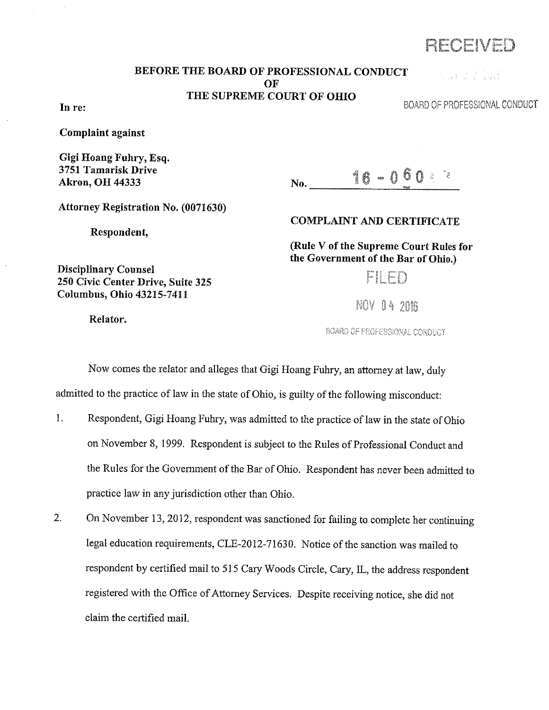RECEIVED

## BEFORE THE BOARD OF PROFESSIONAL CONDUCT **OF** THE SUPREME COURT OF OHIO

**BUILDER TO BE** 

BOARD OF PROFESSiONAL CONDUCT

In re:

Complaint against

Gigi Hoang Fuhry, Esq. 3751 Tamarisk Drive Akron, OH 44333

 $N_0$ .  $16-0.60$  and

Attorney Registration No. (0071630)

250 Civic Center Drive, Suite 325 Columbus, Ohio 43215-7411

Respondent,

COMPLAINT AND CERTIFICATE

(Rule V of the Supreme Court Rules for the Government of the Bar of Ohio.)

MI PD

NOV 04 2016

BOARD OF PROFESSIONAL CONDUCT

Now comes the relator and alleges that Gigi Hoang Fuhry, an attorney at law, duly

admitted to the practice of law in the state of Ohio, is guilty of the following misconduct:

- 1. Respondent, Gigi Hoang Fuhry, was admitted to the practice of law in the state of Ohio on November 8, 1999. Respondent is subject to the Rules of Professional Conduct and the Rules for the Government of the Bar of Ohio. Respondent has never been admitted to practice law in any jurisdiction other than Ohio.
- 2. On November 13, 2012, respondent was sanctioned for failing to complete her continuing legal education requirements, CLE-2012-71630. Notice of the sanction was mailed to respondent by certified mail to 515 Cary Woods Circle, Cary, IL, the address respondent registered with the Office of Attorney Services. Despite receiving notice, she did not claim the certified mail.

Relator.

Disciplinary Counsel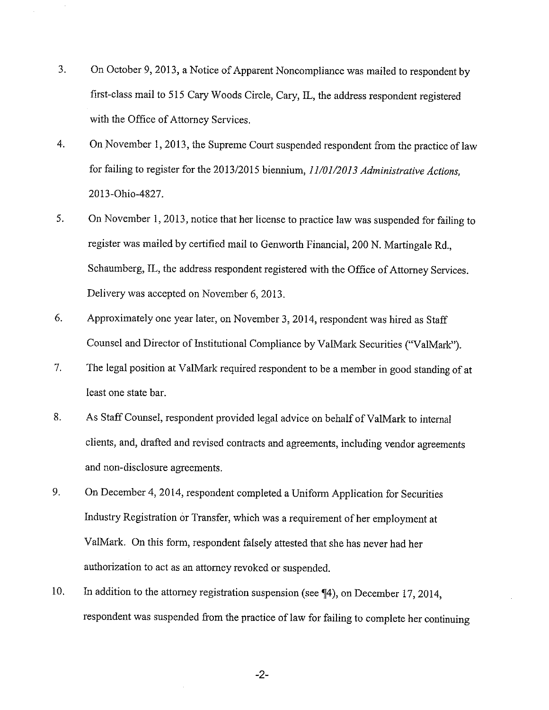- 3. On October 9, 2013, a Notice of Apparent Noncompliance was mailed to respondent by first-class mail to 515 Cary Woods Circle, Cary, IL, the address respondent registered with the Office of Attorney Services.
- 4. On November 1, 2013, the Supreme Court suspended respondent from the practice of law for failing to register for the 2013/2015 biennium, *11/01/2013 Administrative Actions,*  2013-0hio-4827.
- 5. On November 1, 2013, notice that her license to practice law was suspended for failing to register was mailed by certified mail to Genworth Financial, 200 N. Martingale Rd., Schaumberg, IL, the address respondent registered with the Office of Attorney Services. Delivery was accepted on November 6, 2013.
- 6. Approximately one year later, on November 3, 2014, respondent was hired as Staff Counsel and Director of Institutional Compliance by ValMark Securities ("ValMark").
- 7. The legal position at Va!Mark required respondent to be a member in good standing of at least one state bar.
- 8. As Staff Counsel, respondent provided legal advice on behalf of ValMark to internal clients, and, drafted and revised contracts and agreements, including vendor agreements and non-disclosure agreements.
- 9. On December 4, 2014, respondent completed a Uniform Application for Securities Industry Registration or Transfer, which was a requirement of her employment at Va!Mark. On this form, respondent falsely attested that she has never had her authorization to act as an attorney revoked or suspended.
- 10. In addition to the attorney registration suspension (see ¶4), on December 17, 2014, respondent was suspended from the practice of law for failing to complete her continuing

-2-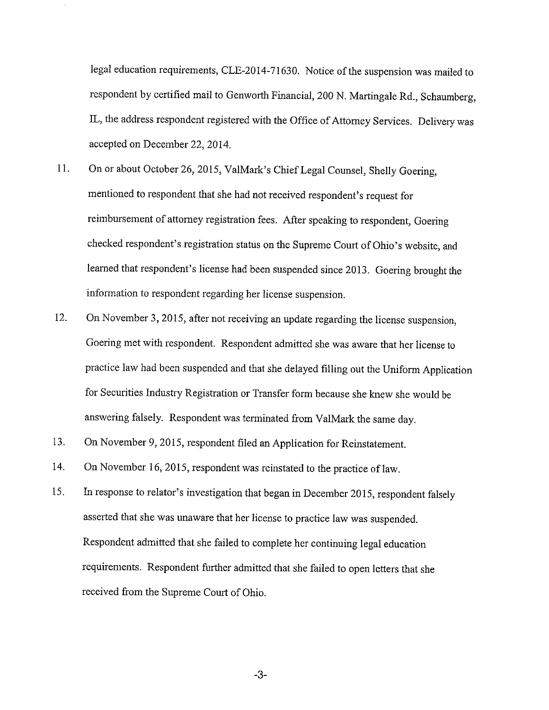legal education requirements, CLE-2014-71630. Notice of the suspension was mailed to respondent by certified mail to Genworth Financial, 200 N. Martingale Rd., Schaumberg, IL, the address respondent registered with the Office of Attorney Services. Delivery was accepted on December 22, 2014.

- 11. On or about October 26, 2015, Va!Mark's Chief Legal Counsel, Shelly Goering, mentioned to respondent that she had not received respondent's request for reimbursement of attorney registration fees. After speaking to respondent, Goering checked respondent's registration status on the Supreme Court of Ohio's website, and learned that respondent's license had been suspended since 2013. Goering brought the information to respondent regarding her license suspension.
- 12. On November 3, 2015, after not receiving an update regarding the license suspension, Goering met with respondent. Respondent admitted she was aware that her license to practice law had been suspended and that she delayed filling out the Uniform Application for Securities Industry Registration or Transfer form because she knew she would be answering falsely. Respondent was terminated from Va!Mark the same day.
- 13. On November 9, 2015, respondent filed an Application for Reinstatement.
- 14. On November 16, 2015, respondent was reinstated to the practice of law.
- 15. In response to relator's investigation that began in December 2015, respondent falsely asserted that she was unaware that her license to practice law was suspended. Respondent admitted that she failed to complete her continuing legal education requirements. Respondent further admitted that she failed to open letters that she received from the Supreme Court of Ohio.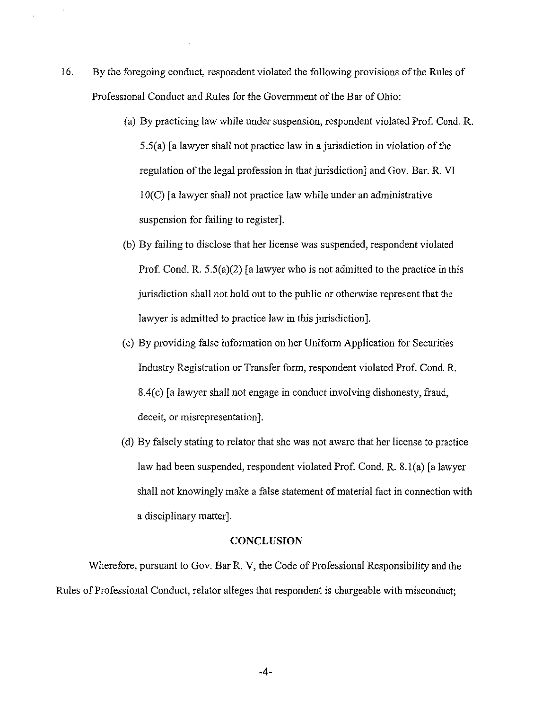- 16. By the foregoing conduct, respondent violated the following provisions of the Rules of Professional Conduct and Rules for the Government of the Bar of Ohio:
	- (a) By practicing law while under suspension, respondent violated Prof. Cond. R. 5.S(a) [a lawyer shall not practice law in a jurisdiction in violation of the regulation of the legal profession in that jurisdiction] and Gov. Bar. R. VI  $10(C)$  [a lawyer shall not practice law while under an administrative suspension for failing to register].
	- (b) By failing to disclose that her license was suspended, respondent violated Prof. Cond. R. 5.5(a)(2) [a lawyer who is not admitted to the practice in this jurisdiction shall not hold out to the public or otherwise represent that the lawyer is admitted to practice law in this jurisdiction].
	- (c) By providing false information on her Uniform Application for Securities Industry Registration or Transfer form, respondent violated Prof. Cond. R. 8.4(c) [a lawyer shall not engage in conduct involving dishonesty, fraud, deceit, or misrepresentation].
	- ( d) By falsely stating to relater that she was not aware that her license to practice law had been suspended, respondent violated Prof. Cond. R. 8. l(a) [a lawyer shall not knowingly make a false statement of material fact in connection with a disciplinary matter).

## **CONCLUSION**

Wherefore, pursuant to Gov. Bar R. V, the Code of Professional Responsibility and the Rules of Professional Conduct, relator alleges that respondent is chargeable with misconduct;

-4-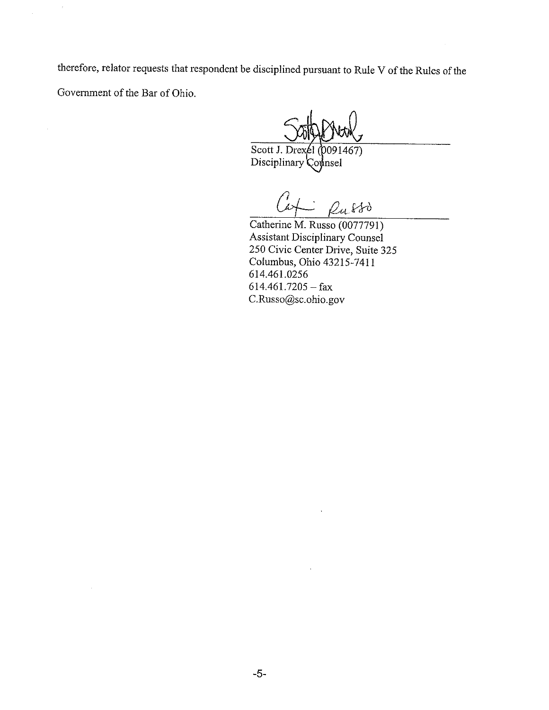therefore, relator requests that respondent be disciplined pursuant to Rule V of the Rules of the Government of the Bar of Ohio.

Scott J. Drexel (0091467) Disciplinary Counsel

Russo

Catherine M. Russo (0077791) Assistant Disciplinary Counsel 250 Civic Center Drive, Suite 325 Columbus, Ohio 43215-7411 614.461.0256  $614.461.7205 - fax$ C.Russo@sc.ohio.gov